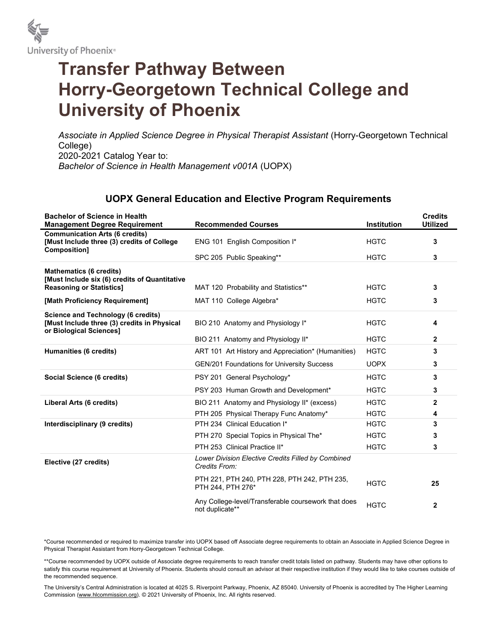

## Transfer Pathway Between Horry-Georgetown Technical College and University of Phoenix

Associate in Applied Science Degree in Physical Therapist Assistant (Horry-Georgetown Technical College) 2020-2021 Catalog Year to: Bachelor of Science in Health Management v001A (UOPX)

## UOPX General Education and Elective Program Requirements

| <b>Bachelor of Science in Health</b><br><b>Management Degree Requirement</b>                                        | <b>Recommended Courses</b>                                             | <b>Institution</b> | <b>Credits</b><br><b>Utilized</b> |
|---------------------------------------------------------------------------------------------------------------------|------------------------------------------------------------------------|--------------------|-----------------------------------|
| <b>Communication Arts (6 credits)</b><br>[Must Include three (3) credits of College                                 | ENG 101 English Composition I*                                         | <b>HGTC</b>        | 3                                 |
| Composition]                                                                                                        | SPC 205 Public Speaking**                                              | <b>HGTC</b>        | 3                                 |
| <b>Mathematics (6 credits)</b>                                                                                      |                                                                        |                    |                                   |
| [Must Include six (6) credits of Quantitative<br><b>Reasoning or Statistics1</b>                                    | MAT 120 Probability and Statistics**                                   | <b>HGTC</b>        | 3                                 |
| [Math Proficiency Requirement]                                                                                      | MAT 110 College Algebra*                                               | <b>HGTC</b>        | 3                                 |
| <b>Science and Technology (6 credits)</b><br>[Must Include three (3) credits in Physical<br>or Biological Sciences] | BIO 210 Anatomy and Physiology I*                                      | <b>HGTC</b>        | 4                                 |
|                                                                                                                     | BIO 211 Anatomy and Physiology II*                                     | <b>HGTC</b>        | $\overline{2}$                    |
| Humanities (6 credits)                                                                                              | ART 101 Art History and Appreciation* (Humanities)                     | <b>HGTC</b>        | 3                                 |
|                                                                                                                     | <b>GEN/201 Foundations for University Success</b>                      | <b>UOPX</b>        | 3                                 |
| Social Science (6 credits)                                                                                          | PSY 201 General Psychology*                                            | <b>HGTC</b>        | 3                                 |
|                                                                                                                     | PSY 203 Human Growth and Development*                                  | <b>HGTC</b>        | 3                                 |
| Liberal Arts (6 credits)                                                                                            | BIO 211 Anatomy and Physiology II* (excess)                            | <b>HGTC</b>        | $\mathbf{2}$                      |
|                                                                                                                     | PTH 205 Physical Therapy Func Anatomy*                                 | <b>HGTC</b>        | 4                                 |
| Interdisciplinary (9 credits)                                                                                       | PTH 234 Clinical Education I*                                          | <b>HGTC</b>        | 3                                 |
|                                                                                                                     | PTH 270 Special Topics in Physical The*                                | <b>HGTC</b>        | 3                                 |
|                                                                                                                     | PTH 253 Clinical Practice II*                                          | <b>HGTC</b>        | 3                                 |
| Elective (27 credits)                                                                                               | Lower Division Elective Credits Filled by Combined<br>Credits From:    |                    |                                   |
|                                                                                                                     | PTH 221, PTH 240, PTH 228, PTH 242, PTH 235,<br>PTH 244, PTH 276*      | <b>HGTC</b>        | 25                                |
|                                                                                                                     | Any College-level/Transferable coursework that does<br>not duplicate** | <b>HGTC</b>        | $\mathbf{2}$                      |

\*Course recommended or required to maximize transfer into UOPX based off Associate degree requirements to obtain an Associate in Applied Science Degree in Physical Therapist Assistant from Horry-Georgetown Technical College.

\*\*Course recommended by UOPX outside of Associate degree requirements to reach transfer credit totals listed on pathway. Students may have other options to satisfy this course requirement at University of Phoenix. Students should consult an advisor at their respective institution if they would like to take courses outside of the recommended sequence.

The University's Central Administration is located at 4025 S. Riverpoint Parkway, Phoenix, AZ 85040. University of Phoenix is accredited by The Higher Learning Commission (www.hlcommission.org). © 2021 University of Phoenix, Inc. All rights reserved.